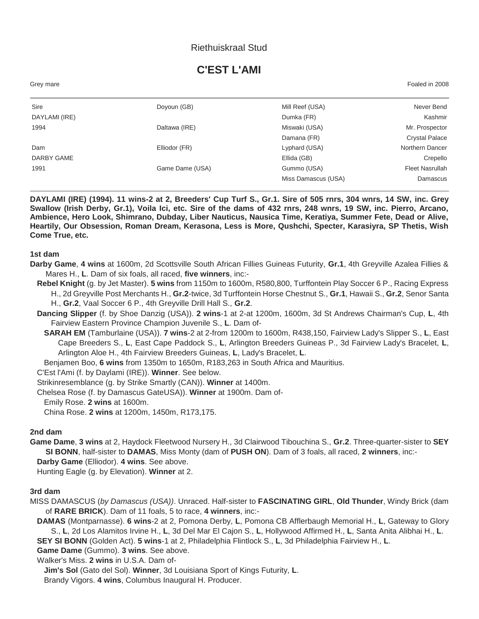## Riethuiskraal Stud

# **C'EST L'AMI**

Grey mare Foaled in 2008

| Sire          | Doyoun (GB)     | Mill Reef (USA)     | Never Bend             |
|---------------|-----------------|---------------------|------------------------|
| DAYLAMI (IRE) |                 | Dumka (FR)          | Kashmir                |
| 1994          | Daltawa (IRE)   | Miswaki (USA)       | Mr. Prospector         |
|               |                 | Damana (FR)         | <b>Crystal Palace</b>  |
| Dam           | Elliodor (FR)   | Lyphard (USA)       | Northern Dancer        |
| DARBY GAME    |                 | Ellida (GB)         | Crepello               |
| 1991          | Game Dame (USA) | Gummo (USA)         | <b>Fleet Nasrullah</b> |
|               |                 | Miss Damascus (USA) | Damascus               |

**DAYLAMI (IRE) (1994). 11 wins-2 at 2, Breeders' Cup Turf S., Gr.1. Sire of 505 rnrs, 304 wnrs, 14 SW, inc. Grey Swallow (Irish Derby, Gr.1), Voila Ici, etc. Sire of the dams of 432 rnrs, 248 wnrs, 19 SW, inc. Pierro, Arcano, Ambience, Hero Look, Shimrano, Dubday, Liber Nauticus, Nausica Time, Keratiya, Summer Fete, Dead or Alive, Heartily, Our Obsession, Roman Dream, Kerasona, Less is More, Qushchi, Specter, Karasiyra, SP Thetis, Wish Come True, etc.**

**1st dam**

- **Darby Game**, **4 wins** at 1600m, 2d Scottsville South African Fillies Guineas Futurity, **Gr.1**, 4th Greyville Azalea Fillies & Mares H., **L**. Dam of six foals, all raced, **five winners**, inc:-
	- **Rebel Knight** (g. by Jet Master). **5 wins** from 1150m to 1600m, R580,800, Turffontein Play Soccer 6 P., Racing Express H., 2d Greyville Post Merchants H., **Gr.2**-twice, 3d Turffontein Horse Chestnut S., **Gr.1**, Hawaii S., **Gr.2**, Senor Santa H., **Gr.2**, Vaal Soccer 6 P., 4th Greyville Drill Hall S., **Gr.2**.
	- **Dancing Slipper** (f. by Shoe Danzig (USA)). **2 wins**-1 at 2-at 1200m, 1600m, 3d St Andrews Chairman's Cup, **L**, 4th Fairview Eastern Province Champion Juvenile S., **L**. Dam of-
		- **SARAH EM** (Tamburlaine (USA)). **7 wins**-2 at 2-from 1200m to 1600m, R438,150, Fairview Lady's Slipper S., **L**, East Cape Breeders S., **L**, East Cape Paddock S., **L**, Arlington Breeders Guineas P., 3d Fairview Lady's Bracelet, **L**, Arlington Aloe H., 4th Fairview Breeders Guineas, **L**, Lady's Bracelet, **L**.

Benjamen Boo, **6 wins** from 1350m to 1650m, R183,263 in South Africa and Mauritius.

C'Est l'Ami (f. by Daylami (IRE)). **Winner**. See below.

Strikinresemblance (g. by Strike Smartly (CAN)). **Winner** at 1400m.

Chelsea Rose (f. by Damascus GateUSA)). **Winner** at 1900m. Dam of-

Emily Rose. **2 wins** at 1600m.

China Rose. **2 wins** at 1200m, 1450m, R173,175.

#### **2nd dam**

**Game Dame**, **3 wins** at 2, Haydock Fleetwood Nursery H., 3d Clairwood Tibouchina S., **Gr.2**. Three-quarter-sister to **SEY SI BONN**, half-sister to **DAMAS**, Miss Monty (dam of **PUSH ON**). Dam of 3 foals, all raced, **2 winners**, inc:-

**Darby Game** (Elliodor). **4 wins**. See above. Hunting Eagle (g. by Elevation). **Winner** at 2.

#### **3rd dam**

MISS DAMASCUS (*by Damascus (USA))*. Unraced. Half-sister to **FASCINATING GIRL**, **Old Thunder**, Windy Brick (dam of **RARE BRICK**). Dam of 11 foals, 5 to race, **4 winners**, inc:-

**DAMAS** (Montparnasse). **6 wins**-2 at 2, Pomona Derby, **L**, Pomona CB Afflerbaugh Memorial H., **L**, Gateway to Glory S., **L**, 2d Los Alamitos Irvine H., **L**, 3d Del Mar El Cajon S., **L**, Hollywood Affirmed H., **L**, Santa Anita Alibhai H., **L**.

**SEY SI BONN** (Golden Act). **5 wins**-1 at 2, Philadelphia Flintlock S., **L**, 3d Philadelphia Fairview H., **L**.

**Game Dame** (Gummo). **3 wins**. See above.

Walker's Miss. **2 wins** in U.S.A. Dam of-

**Jim's Sol** (Gato del Sol). **Winner**, 3d Louisiana Sport of Kings Futurity, **L**.

Brandy Vigors. **4 wins**, Columbus Inaugural H. Producer.